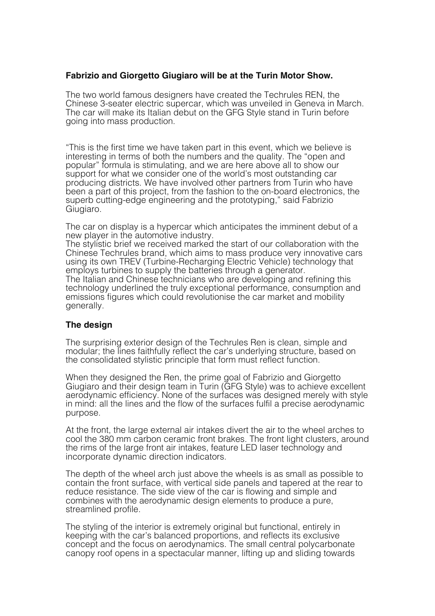### **Fabrizio and Giorgetto Giugiaro will be at the Turin Motor Show.**

The two world famous designers have created the Techrules REN, the Chinese 3-seater electric supercar, which was unveiled in Geneva in March. The car will make its Italian debut on the GFG Style stand in Turin before going into mass production.

"This is the first time we have taken part in this event, which we believe is interesting in terms of both the numbers and the quality. The "open and popular" formula is stimulating, and we are here above all to show our support for what we consider one of the world's most outstanding car producing districts. We have involved other partners from Turin who have been a part of this project, from the fashion to the on-board electronics, the superb cutting-edge engineering and the prototyping," said Fabrizio Giugiaro.

The car on display is a hypercar which anticipates the imminent debut of a new player in the automotive industry.

The stylistic brief we received marked the start of our collaboration with the Chinese Techrules brand, which aims to mass produce very innovative cars using its own TREV (Turbine-Recharging Electric Vehicle) technology that employs turbines to supply the batteries through a generator. The Italian and Chinese technicians who are developing and refining this technology underlined the truly exceptional performance, consumption and emissions figures which could revolutionise the car market and mobility generally.

#### **The design**

The surprising exterior design of the Techrules Ren is clean, simple and modular; the lines faithfully reflect the car's underlying structure, based on the consolidated stylistic principle that form must reflect function.

When they designed the Ren, the prime goal of Fabrizio and Giorgetto Giugiaro and their design team in Turin (GFG Style) was to achieve excellent aerodynamic efficiency. None of the surfaces was designed merely with style in mind: all the lines and the flow of the surfaces fulfil a precise aerodynamic purpose.

At the front, the large external air intakes divert the air to the wheel arches to cool the 380 mm carbon ceramic front brakes. The front light clusters, around the rims of the large front air intakes, feature LED laser technology and incorporate dynamic direction indicators.

The depth of the wheel arch just above the wheels is as small as possible to contain the front surface, with vertical side panels and tapered at the rear to reduce resistance. The side view of the car is flowing and simple and combines with the aerodynamic design elements to produce a pure, streamlined profile.

The styling of the interior is extremely original but functional, entirely in keeping with the car's balanced proportions, and reflects its exclusive concept and the focus on aerodynamics. The small central polycarbonate canopy roof opens in a spectacular manner, lifting up and sliding towards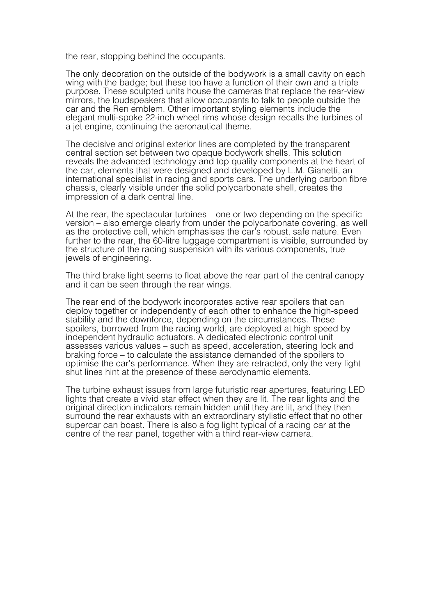the rear, stopping behind the occupants.

The only decoration on the outside of the bodywork is a small cavity on each wing with the badge; but these too have a function of their own and a triple purpose. These sculpted units house the cameras that replace the rear-view mirrors, the loudspeakers that allow occupants to talk to people outside the car and the Ren emblem. Other important styling elements include the elegant multi-spoke 22-inch wheel rims whose design recalls the turbines of a jet engine, continuing the aeronautical theme.

The decisive and original exterior lines are completed by the transparent central section set between two opaque bodywork shells. This solution reveals the advanced technology and top quality components at the heart of the car, elements that were designed and developed by L.M. Gianetti, an international specialist in racing and sports cars. The underlying carbon fibre chassis, clearly visible under the solid polycarbonate shell, creates the impression of a dark central line.

At the rear, the spectacular turbines – one or two depending on the specific version – also emerge clearly from under the polycarbonate covering, as well as the protective cell, which emphasises the car's robust, safe nature. Even further to the rear, the 60-litre luggage compartment is visible, surrounded by the structure of the racing suspension with its various components, true jewels of engineering.

The third brake light seems to float above the rear part of the central canopy and it can be seen through the rear wings.

The rear end of the bodywork incorporates active rear spoilers that can deploy together or independently of each other to enhance the high-speed stability and the downforce, depending on the circumstances. These spoilers, borrowed from the racing world, are deployed at high speed by independent hydraulic actuators. A dedicated electronic control unit assesses various values – such as speed, acceleration, steering lock and braking force – to calculate the assistance demanded of the spoilers to optimise the car's performance. When they are retracted, only the very light shut lines hint at the presence of these aerodynamic elements.

The turbine exhaust issues from large futuristic rear apertures, featuring LED lights that create a vivid star effect when they are lit. The rear lights and the original direction indicators remain hidden until they are lit, and they then surround the rear exhausts with an extraordinary stylistic effect that no other supercar can boast. There is also a fog light typical of a racing car at the centre of the rear panel, together with a third rear-view camera.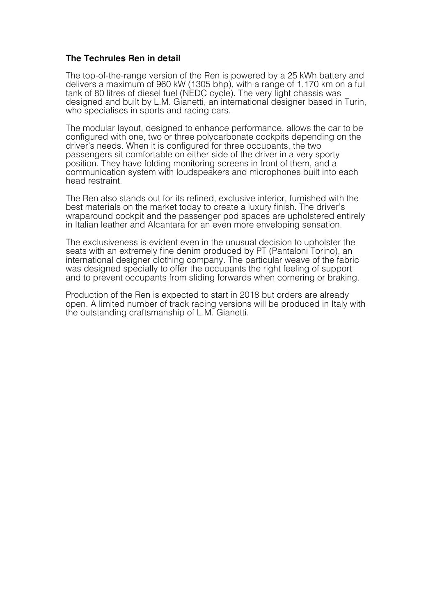### **The Techrules Ren in detail**

The top-of-the-range version of the Ren is powered by a 25 kWh battery and delivers a maximum of 960 kW (1305 bhp), with a range of 1,170 km on a full tank of 80 litres of diesel fuel (NEDC cycle). The very light chassis was designed and built by L.M. Gianetti, an international designer based in Turin, who specialises in sports and racing cars.

The modular layout, designed to enhance performance, allows the car to be configured with one, two or three polycarbonate cockpits depending on the driver's needs. When it is configured for three occupants, the two passengers sit comfortable on either side of the driver in a very sporty position. They have folding monitoring screens in front of them, and a communication system with loudspeakers and microphones built into each head restraint.

The Ren also stands out for its refined, exclusive interior, furnished with the best materials on the market today to create a luxury finish. The driver's wraparound cockpit and the passenger pod spaces are upholstered entirely in Italian leather and Alcantara for an even more enveloping sensation.

The exclusiveness is evident even in the unusual decision to upholster the seats with an extremely fine denim produced by PT (Pantaloni Torino), an international designer clothing company. The particular weave of the fabric was designed specially to offer the occupants the right feeling of support and to prevent occupants from sliding forwards when cornering or braking.

Production of the Ren is expected to start in 2018 but orders are already open. A limited number of track racing versions will be produced in Italy with the outstanding craftsmanship of L.M. Gianetti.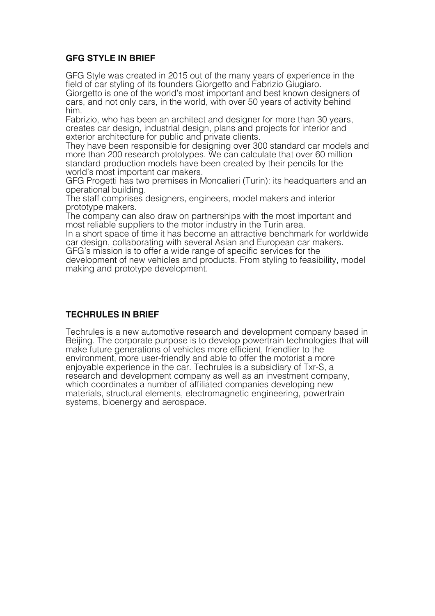## **GFG STYLE IN BRIEF**

GFG Style was created in 2015 out of the many years of experience in the field of car styling of its founders Giorgetto and Fabrizio Giugiaro. Giorgetto is one of the world's most important and best known designers of cars, and not only cars, in the world, with over 50 years of activity behind him.

Fabrizio, who has been an architect and designer for more than 30 years, creates car design, industrial design, plans and projects for interior and

They have been responsible for designing over 300 standard car models and more than 200 research prototypes. We can calculate that over 60 million standard production models have been created by their pencils for the world's most important car makers.

GFG Progetti has two premises in Moncalieri (Turin): its headquarters and an operational building.

The staff comprises designers, engineers, model makers and interior

The company can also draw on partnerships with the most important and most reliable suppliers to the motor industry in the Turin area.

In a short space of time it has become an attractive benchmark for worldwide. car design, collaborating with several Asian and European car makers. GFG's mission is to offer a wide range of specific services for the

development of new vehicles and products. From styling to feasibility, model making and prototype development.

## **TECHRULES IN BRIEF**

Techrules is a new automotive research and development company based in Beijing. The corporate purpose is to develop powertrain technologies that will make future generations of vehicles more efficient, friendlier to the environment, more user-friendly and able to offer the motorist a more enjoyable experience in the car. Techrules is a subsidiary of Txr-S, a research and development company as well as an investment company, which coordinates a number of affiliated companies developing new materials, structural elements, electromagnetic engineering, powertrain systems, bioenergy and aerospace.